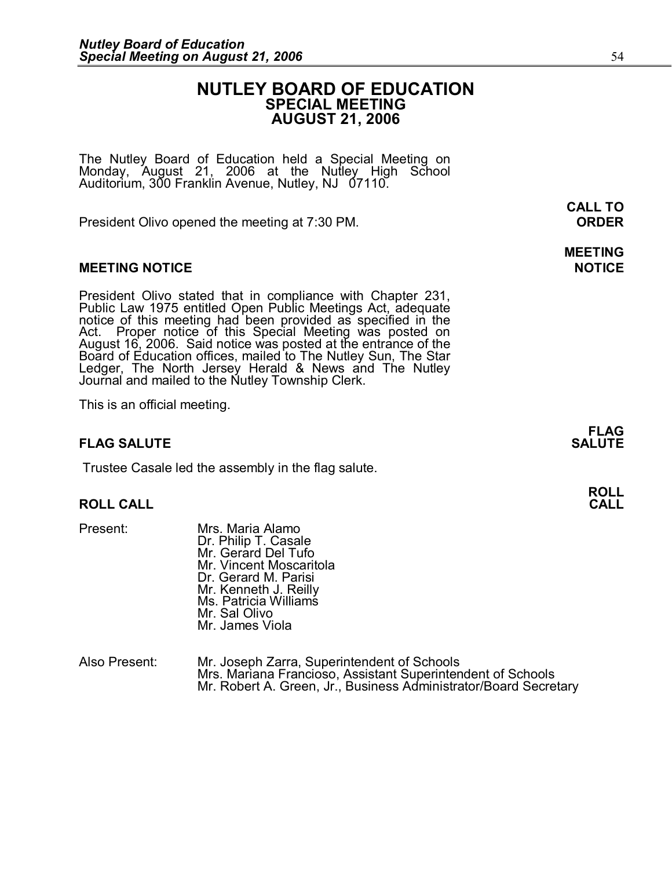## **NUTLEY BOARD OF EDUCATION SPECIAL MEETING AUGUST 21, 2006**

The Nutley Board of Education held a Special Meeting on <br>Monday, August 21, 2006 at the Nutley High School<br>Auditorium, 300 Franklin Avenue, Nutley, NJ 07110.

President Olivo opened the meeting at 7:30 PM. **ORDER** 

## **MEETING NOTICE NOTICE**

President Olivo stated that in compliance with Chapter 231,<br>Public Law 1975 entitled Open Public Meetings Act, adequate<br>notice of this meeting had been provided as specified in the<br>Act. Proper notice of this Special Meetin

This is an official meeting.

## **FLAG SALUTE SALUTE**

Trustee Casale led the assembly in the flag salute.

#### **ROLL CALL CALL**

- 
- **ROLL CALL<br>Present: Mrs. Maria Alamo<br>Dr. Philip T. Casale** Dr. Philip T. Casale Mr. Gerard Del Tufo Mr. Vincent Moscaritola Dr. Gerard M. Parisi<br>Mr. Kenneth J. Reilly Ms. Patricia Williams Mr. Sal Olivo Mr. James Viola

|               | Mr. James Viola                                                                                                                                                                |
|---------------|--------------------------------------------------------------------------------------------------------------------------------------------------------------------------------|
| Also Present: | Mr. Joseph Zarra, Superintendent of Schools<br>Mrs. Mariana Francioso, Assistant Superintendent of Schools<br>Mr. Robert A. Green, Jr., Business Administrator/Board Secretary |

**FLAG** 

**CALL TO**

**MEETING**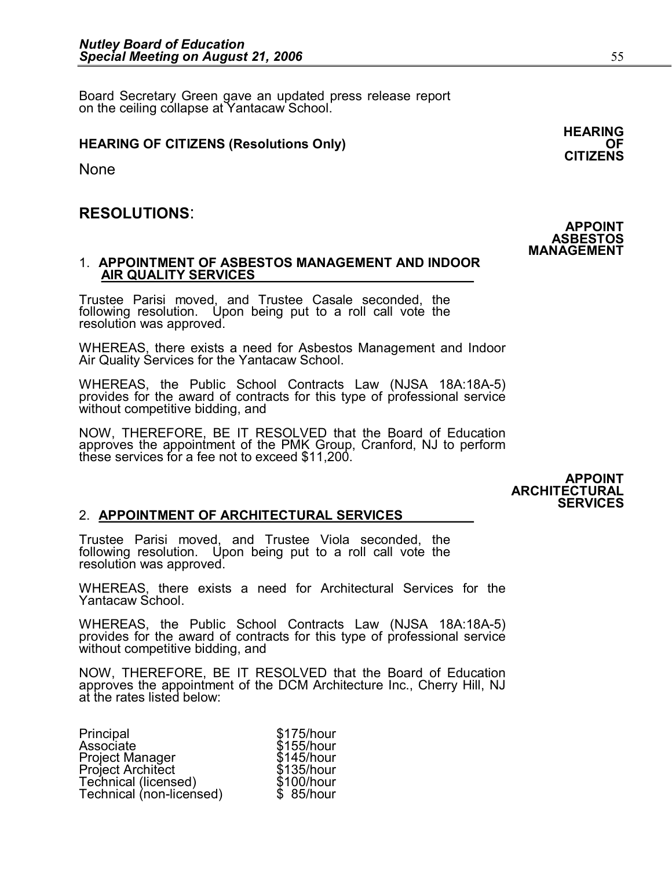Board Secretary Green gave an updated press release report on the ceiling collapse at Yantacaw School.

## **HEARING OF CITIZENS (Resolutions Only)**

None

# **RESOLUTIONS**:

# 1. **APPOINTMENT OF ASBESTOS MANAGEMENT AND INDOOR AIR QUALITY SERVICES** T. APPOINTMENT OF ASBESTOS MANAGEMENT AND INDOOR<br>AIR QUALITY SERVICES<br>Trustee Parisi moved, and Trustee Casale seconded, the<br>following resolution. Upon being put to a roll call vote the

AIR QUALITY SERVICES<br>Trustee Parisi moved, and Trustee Casale seconded, the<br>following resolution. Upon being put to a roll call vote the<br>resolution was approved.

resolution was approved.<br>WHEREAS, there exists a need for Asbestos Management and Indoor<br>Air Quality Services for the Yantacaw School.

WHEREAS, the Public School Contracts Law (NJSA 18A:18A-5) provides for the award of contracts for this type of professional service without competitive bidding, and

provides for the award of contracts for this type of professional service<br>without competitive bidding, and<br>NOW, THEREFORE, BE IT RESOLVED that the Board of Education<br>approves the appointment of the PMK Group. Cranford. NJ without competitive bidding, and<br>NOW, THEREFORE, BE IT RESOLVED that the Board of Education<br>approves the appointment of the PMK Group, Cranford, NJ to perform<br>these services for a fee not to exceed \$11.200. these services for a fee not to exceed \$11,200.

> **APPOINT ARCHITECTURAL SERVICES**

## 2. **APPOINTMENT OF ARCHITECTURAL SERVICES**

2. APPOINTMENT OF ARCHITECTURAL SERVICES<br>Trustee Parisi moved, and Trustee Viola seconded, the<br>following resolution. Upon being put to a roll call vote the 2. **APPOINTMENT OF ARCHITECTURAL SERVICES**<br>Trustee Parisi moved, and Trustee Viola seconded, the<br>following resolution. Upon being put to a roll call vote the<br>resolution was approved. following resolution. Upon being put to a roll call vote the resolution was approved.<br>WHEREAS, there exists a need for Architectural Services for the

Yantacaw School.

WHEREAS, the Public School Contracts Law (NJSA 18A:18A-5) provides for the award of contracts for this type of professional service without competitive bidding, and

NOW, THEREFORE, BE IT RESOLVED that the Board of Education approves the appointment of the DCM Architecture Inc., Cherry Hill, NJ at the rates listed below:

| Principal                | \$175/hour |
|--------------------------|------------|
| Associate                | \$155/hour |
| Project Manager          | \$145/hour |
| <b>Project Architect</b> | \$135/hour |
| Technical (licensed)     | \$100/hour |
| Technical (non-licensed) | \$ 85/hour |
|                          |            |

**HEARING CITIZENS**

**APPOINT ASBESTOS MANAGEMENT**